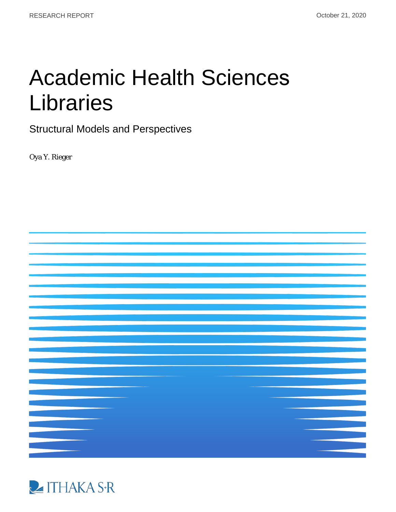# Academic Health Sciences Libraries

Structural Models and Perspectives

Oya Y. Rieger



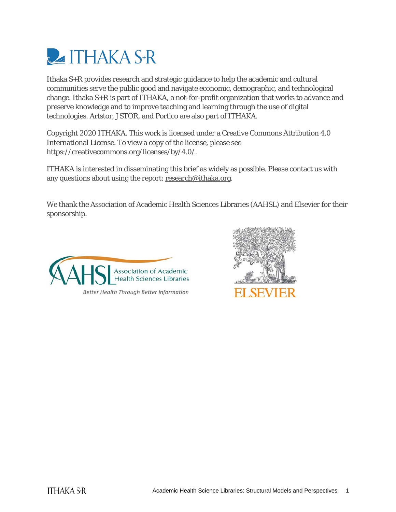

Ithaka S+R provides research and strategic guidance to help the academic and cultural communities serve the public good and navigate economic, demographic, and technological change. Ithaka S+R is part of ITHAKA, a not-for-profit organization that works to advance and preserve knowledge and to improve teaching and learning through the use of digital technologies. Artstor, JSTOR, and Portico are also part of ITHAKA.

Copyright 2020 ITHAKA. This work is licensed under a Creative Commons Attribution 4.0 International License. To view a copy of the license, please see [https://creativecommons.org/licenses/by/4.0/.](https://creativecommons.org/licenses/by/4.0/)

ITHAKA is interested in disseminating this brief as widely as possible. Please contact us with any questions about using the report[: research@ithaka.org.](mailto:research@ithaka.org)

We thank the Association of Academic Health Sciences Libraries (AAHSL) and Elsevier for their sponsorship.



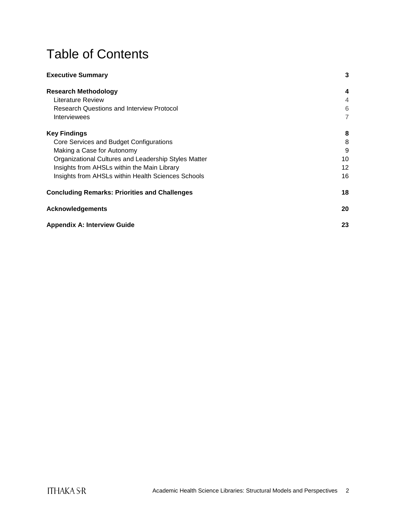## Table of Contents

| <b>Executive Summary</b>                             | 3              |
|------------------------------------------------------|----------------|
| <b>Research Methodology</b>                          | 4              |
| Literature Review                                    | 4              |
| <b>Research Questions and Interview Protocol</b>     | 6              |
| Interviewees                                         | $\overline{7}$ |
| <b>Key Findings</b>                                  | 8              |
| Core Services and Budget Configurations              | 8              |
| Making a Case for Autonomy                           | 9              |
| Organizational Cultures and Leadership Styles Matter | 10             |
| Insights from AHSLs within the Main Library          | 12             |
| Insights from AHSLs within Health Sciences Schools   | 16             |
| <b>Concluding Remarks: Priorities and Challenges</b> | 18             |
| <b>Acknowledgements</b>                              | 20             |
| <b>Appendix A: Interview Guide</b>                   | 23             |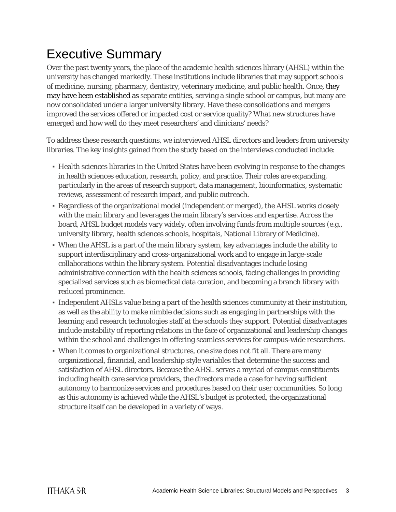## <span id="page-3-0"></span>Executive Summary

Over the past twenty years, the place of the academic health sciences library (AHSL) within the university has changed markedly. These institutions include libraries that may support schools of medicine, nursing, pharmacy, dentistry, veterinary medicine, and public health. Once, they may have been established as separate entities, serving a single school or campus, but many are now consolidated under a larger university library. Have these consolidations and mergers improved the services offered or impacted cost or service quality? What new structures have emerged and how well do they meet researchers' and clinicians' needs?

To address these research questions, we interviewed AHSL directors and leaders from university libraries. The key insights gained from the study based on the interviews conducted include:

- Health sciences libraries in the United States have been evolving in response to the changes in health sciences education, research, policy, and practice. Their roles are expanding, particularly in the areas of research support, data management, bioinformatics, systematic reviews, assessment of research impact, and public outreach.
- Regardless of the organizational model (independent or merged), the AHSL works closely with the main library and leverages the main library's services and expertise. Across the board, AHSL budget models vary widely, often involving funds from multiple sources (e.g., university library, health sciences schools, hospitals, National Library of Medicine).
- When the AHSL is a part of the main library system, key advantages include the ability to support interdisciplinary and cross-organizational work and to engage in large-scale collaborations within the library system. Potential disadvantages include losing administrative connection with the health sciences schools, facing challenges in providing specialized services such as biomedical data curation, and becoming a branch library with reduced prominence.
- Independent AHSLs value being a part of the health sciences community at their institution, as well as the ability to make nimble decisions such as engaging in partnerships with the learning and research technologies staff at the schools they support. Potential disadvantages include instability of reporting relations in the face of organizational and leadership changes within the school and challenges in offering seamless services for campus-wide researchers.
- When it comes to organizational structures, one size does not fit all. There are many organizational, financial, and leadership style variables that determine the success and satisfaction of AHSL directors. Because the AHSL serves a myriad of campus constituents including health care service providers, the directors made a case for having sufficient autonomy to harmonize services and procedures based on their user communities. So long as this autonomy is achieved while the AHSL's budget is protected, the organizational structure itself can be developed in a variety of ways.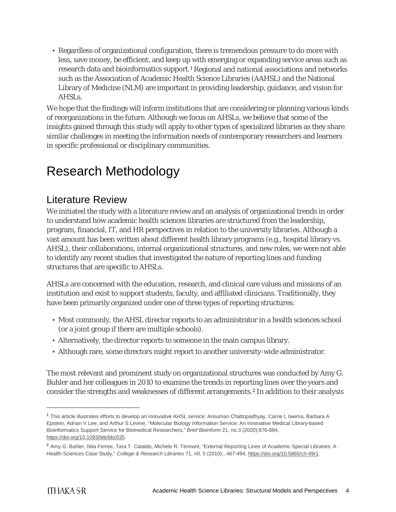▪ Regardless of organizational configuration, there is tremendous pressure to do more with less, save money, be efficient, and keep up with emerging or expanding service areas such as research data and bioinformatics support.[1](#page-4-2) Regional and national associations and networks such as the Association of Academic Health Science Libraries (AAHSL) and the National Library of Medicine (NLM) are important in providing leadership, guidance, and vision for AHSLs.

We hope that the findings will inform institutions that are considering or planning various kinds of reorganizations in the future. Although we focus on AHSLs, we believe that some of the insights gained through this study will apply to other types of specialized libraries as they share similar challenges in meeting the information needs of contemporary researchers and learners in specific professional or disciplinary communities.

## <span id="page-4-0"></span>Research Methodology

### <span id="page-4-1"></span>Literature Review

We initiated the study with a literature review and an analysis of organizational trends in order to understand how academic health sciences libraries are structured from the leadership, program, financial, IT, and HR perspectives in relation to the university libraries. Although a vast amount has been written about different health library programs (e.g., hospital library vs. AHSL), their collaborations, internal organizational structures, and new roles, we were not able to identify any recent studies that investigated the nature of reporting lines and funding structures that are specific to AHSLs.

AHSLs are concerned with the education, research, and clinical care values and missions of an institution and exist to support students, faculty, and affiliated clinicians. Traditionally, they have been primarily organized under one of three types of reporting structures:

- Most commonly, the AHSL director reports to an administrator in a health sciences school (or a joint group if there are multiple schools).
- Alternatively, the director reports to someone in the main campus library.
- Although rare, some directors might report to another university-wide administrator.

The most relevant and prominent study on organizational structures was conducted by Amy G. Buhler and her colleagues in 2010 to examine the trends in reporting lines over the years and consider the strengths and weaknesses of different arrangements.[2](#page-4-3) In addition to their analysis

<span id="page-4-2"></span> <sup>1</sup> This article illustrates efforts to develop an innovative AHSL service: Ansuman Chattopadhyay, Carrie L Iwema, Barbara A Epstein, Adrian V Lee, and Arthur S Levine, "Molecular Biology Information Service: An Innovative Medical Library-based Bioinformatics Support Service for Biomedical Researchers," *Brief Bioinform* 21, no.3 (2020):876-884, [https://doi.org/10.1093/bib/bbz035.](https://doi.org/10.1093/bib/bbz035)

<span id="page-4-3"></span><sup>2</sup> Amy G. Buhler, Nita Ferree, Tara T. Cataldo, Michele R. Tennant, "External Reporting Lines of Academic Special Libraries: A Health Sciences Case Study," *College & Research Libraries* 71, n0. 5 (2010):, 467-494[, https://doi.org/10.5860/crl-49r1.](https://doi.org/10.5860/crl-49r1)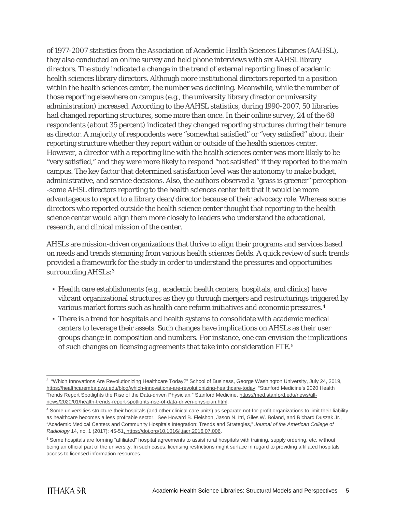of 1977-2007 statistics from the Association of Academic Health Sciences Libraries (AAHSL), they also conducted an online survey and held phone interviews with six AAHSL library directors. The study indicated a change in the trend of external reporting lines of academic health sciences library directors. Although more institutional directors reported to a position within the health sciences center, the number was declining. Meanwhile, while the number of those reporting elsewhere on campus (e.g., the university library director or university administration) increased. According to the AAHSL statistics, during 1990-2007, 50 libraries had changed reporting structures, some more than once. In their online survey, 24 of the 68 respondents (about 35 percent) indicated they changed reporting structures during their tenure as director. A majority of respondents were "somewhat satisfied" or "very satisfied" about their reporting structure whether they report within or outside of the health sciences center. However, a director with a reporting line with the health sciences center was more likely to be "very satisfied," and they were more likely to respond "not satisfied" if they reported to the main campus. The key factor that determined satisfaction level was the autonomy to make budget, administrative, and service decisions. Also, the authors observed a "grass is greener" perception- -some AHSL directors reporting to the health sciences center felt that it would be more advantageous to report to a library dean/director because of their advocacy role. Whereas some directors who reported outside the health science center thought that reporting to the health science center would align them more closely to leaders who understand the educational, research, and clinical mission of the center.

AHSLs are mission-driven organizations that thrive to align their programs and services based on needs and trends stemming from various health sciences fields. A quick review of such trends provided a framework for the study in order to understand the pressures and opportunities surrounding AHSLs:<sup>3</sup>

- Health care establishments (e.g., academic health centers, hospitals, and clinics) have vibrant organizational structures as they go through mergers and restructurings triggered by various market forces such as health care reform initiatives and economic pressures.[4](#page-5-1)
- There is a trend for hospitals and health systems to consolidate with academic medical centers to leverage their assets. Such changes have implications on AHSLs as their user groups change in composition and numbers. For instance, one can envision the implications of such changes on licensing agreements that take into consideration FTE.[5](#page-5-2)

<span id="page-5-0"></span> <sup>3</sup> "Which Innovations Are Revolutionizing Healthcare Today?" School of Business, George Washington University, July 24, 2019, [https://healthcaremba.gwu.edu/blog/which-innovations-are-revolutionizing-healthcare-today;](https://healthcaremba.gwu.edu/blog/which-innovations-are-revolutionizing-healthcare-today/) "Stanford Medicine's 2020 Health Trends Report Spotlights the Rise of the Data-driven Physician," Stanford Medicine[, https://med.stanford.edu/news/all](https://med.stanford.edu/news/all-news/2020/01/health-trends-report-spotlights-rise-of-data-driven-physician.html)[news/2020/01/health-trends-report-spotlights-rise-of-data-driven-physician.html.](https://med.stanford.edu/news/all-news/2020/01/health-trends-report-spotlights-rise-of-data-driven-physician.html)

<span id="page-5-1"></span><sup>4</sup> Some universities structure their hospitals (and other clinical care units) as separate not-for-profit organizations to limit their liability as healthcare becomes a less profitable sector. See Howard B. Fleishon, Jason N. Itri, Giles W. Boland, and Richard Duszak Jr., "Academic Medical Centers and Community Hospitals Integration: Trends and Strategies," *Journal of the American College of Radiology* 14, no. 1 (2017): 45-51, https://doi.org/10.1016/j.jacr.2016.07.006.

<span id="page-5-2"></span><sup>5</sup> Some hospitals are forming "affiliated" hospital agreements to assist rural hospitals with training, supply ordering, etc. without being an official part of the university. In such cases, licensing restrictions might surface in regard to providing affiliated hospitals access to licensed information resources.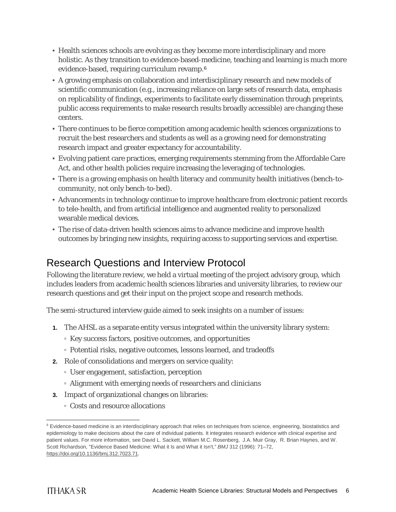- Health sciences schools are evolving as they become more interdisciplinary and more holistic. As they transition to evidence-based-medicine, teaching and learning is much more evidence-based, requiring curriculum revamp.[6](#page-6-1)
- A growing emphasis on collaboration and interdisciplinary research and new models of scientific communication (e.g., increasing reliance on large sets of research data, emphasis on replicability of findings, experiments to facilitate early dissemination through preprints, public access requirements to make research results broadly accessible) are changing these centers.
- There continues to be fierce competition among academic health sciences organizations to recruit the best researchers and students as well as a growing need for demonstrating research impact and greater expectancy for accountability.
- Evolving patient care practices, emerging requirements stemming from the Affordable Care Act, and other health policies require increasing the leveraging of technologies.
- There is a growing emphasis on health literacy and community health initiatives (bench-tocommunity, not only bench-to-bed).
- Advancements in technology continue to improve healthcare from electronic patient records to tele-health, and from artificial intelligence and augmented reality to personalized wearable medical devices.
- The rise of data-driven health sciences aims to advance medicine and improve health outcomes by bringing new insights, requiring access to supporting services and expertise.

### <span id="page-6-0"></span>Research Questions and Interview Protocol

Following the literature review, we held a virtual meeting of the project advisory group, which includes leaders from academic health sciences libraries and university libraries, to review our research questions and get their input on the project scope and research methods.

The semi-structured interview guide aimed to seek insights on a number of issues:

- **1.** The AHSL as a separate entity versus integrated within the university library system:
	- Key success factors, positive outcomes, and opportunities
	- Potential risks, negative outcomes, lessons learned, and tradeoffs
- **2.** Role of consolidations and mergers on service quality:
	- User engagement, satisfaction, perception
	- Alignment with emerging needs of researchers and clinicians
- **3.** Impact of organizational changes on libraries:
	- Costs and resource allocations

<span id="page-6-1"></span><sup>&</sup>lt;sup>6</sup> Evidence-based medicine is an interdisciplinary approach that relies on techniques from science, engineering, biostatistics and epidemiology to make decisions about the care of individual patients. It integrates research evidence with clinical expertise and patient values. For more information, see David L. Sackett, William M.C. Rosenberg, J.A. Muir Gray, R. Brian Haynes, and W. Scott Richardson, "Evidence Based Medicine: What it Is and What it Isn't," *BMJ* 312 (1996): 71–72, [https://doi.org/10.1136/bmj.312.7023.71.](https://doi.org/10.1136/bmj.312.7023.71)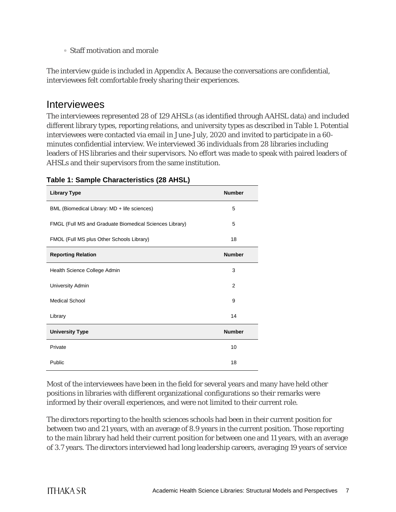▫ Staff motivation and morale

The interview guide is included in Appendix A. Because the conversations are confidential, interviewees felt comfortable freely sharing their experiences.

### <span id="page-7-0"></span>Interviewees

The interviewees represented 28 of 129 AHSLs (as identified through AAHSL data) and included different library types, reporting relations, and university types as described in Table 1. Potential interviewees were contacted via email in June-July, 2020 and invited to participate in a 60 minutes confidential interview. We interviewed 36 individuals from 28 libraries including leaders of HS libraries and their supervisors. No effort was made to speak with paired leaders of AHSLs and their supervisors from the same institution.

| <b>Library Type</b>                                     | <b>Number</b>  |
|---------------------------------------------------------|----------------|
| BML (Biomedical Library: MD + life sciences)            | 5              |
| FMGL (Full MS and Graduate Biomedical Sciences Library) | 5              |
| FMOL (Full MS plus Other Schools Library)               | 18             |
| <b>Reporting Relation</b>                               | <b>Number</b>  |
| Health Science College Admin                            | 3              |
| University Admin                                        | $\overline{2}$ |
| <b>Medical School</b>                                   | 9              |
| Library                                                 | 14             |
| <b>University Type</b>                                  | <b>Number</b>  |
| Private                                                 | 10             |
| Public                                                  | 18             |

#### **Table 1: Sample Characteristics (28 AHSL)**

Most of the interviewees have been in the field for several years and many have held other positions in libraries with different organizational configurations so their remarks were informed by their overall experiences, and were not limited to their current role.

The directors reporting to the health sciences schools had been in their current position for between two and 21 years, with an average of 8.9 years in the current position. Those reporting to the main library had held their current position for between one and 11 years, with an average of 3.7 years. The directors interviewed had long leadership careers, averaging 19 years of service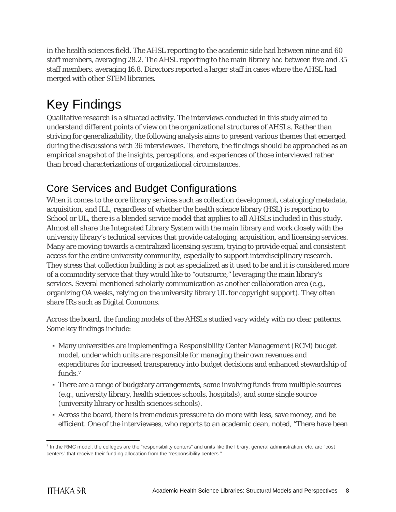in the health sciences field. The AHSL reporting to the academic side had between nine and 60 staff members, averaging 28.2. The AHSL reporting to the main library had between five and 35 staff members, averaging 16.8. Directors reported a larger staff in cases where the AHSL had merged with other STEM libraries.

## <span id="page-8-0"></span>Key Findings

Qualitative research is a situated activity. The interviews conducted in this study aimed to understand different points of view on the organizational structures of AHSLs. Rather than striving for generalizability, the following analysis aims to present various themes that emerged during the discussions with 36 interviewees. Therefore, the findings should be approached as an empirical snapshot of the insights, perceptions, and experiences of those interviewed rather than broad characterizations of organizational circumstances.

## <span id="page-8-1"></span>Core Services and Budget Configurations

When it comes to the core library services such as collection development, cataloging/metadata, acquisition, and ILL, regardless of whether the health science library (HSL) is reporting to School or UL, there is a blended service model that applies to all AHSLs included in this study. Almost all share the Integrated Library System with the main library and work closely with the university library's technical services that provide cataloging, acquisition, and licensing services. Many are moving towards a centralized licensing system, trying to provide equal and consistent access for the entire university community, especially to support interdisciplinary research. They stress that collection building is not as specialized as it used to be and it is considered more of a commodity service that they would like to "outsource," leveraging the main library's services. Several mentioned scholarly communication as another collaboration area (e.g., organizing OA weeks, relying on the university library UL for copyright support). They often share IRs such as Digital Commons.

Across the board, the funding models of the AHSLs studied vary widely with no clear patterns. Some key findings include:

- Many universities are implementing a Responsibility Center Management (RCM) budget model, under which units are responsible for managing their own revenues and expenditures for increased transparency into budget decisions and enhanced stewardship of funds.[7](#page-8-2)
- There are a range of budgetary arrangements, some involving funds from multiple sources (e.g., university library, health sciences schools, hospitals), and some single source (university library or health sciences schools).
- Across the board, there is tremendous pressure to do more with less, save money, and be efficient. One of the interviewees, who reports to an academic dean, noted, "There have been

<span id="page-8-2"></span> $<sup>7</sup>$  In the RMC model, the colleges are the "responsibility centers" and units like the library, general administration, etc. are "cost</sup> centers" that receive their funding allocation from the "responsibility centers."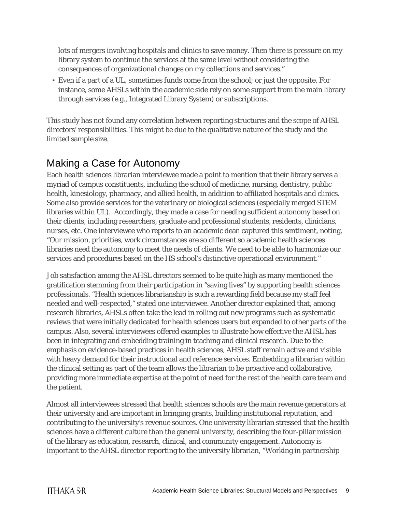lots of mergers involving hospitals and clinics to save money. Then there is pressure on my library system to continue the services at the same level without considering the consequences of organizational changes on my collections and services."

▪ Even if a part of a UL, sometimes funds come from the school; or just the opposite. For instance, some AHSLs within the academic side rely on some support from the main library through services (e.g., Integrated Library System) or subscriptions.

This study has not found any correlation between reporting structures and the scope of AHSL directors' responsibilities. This might be due to the qualitative nature of the study and the limited sample size.

## <span id="page-9-0"></span>Making a Case for Autonomy

Each health sciences librarian interviewee made a point to mention that their library serves a myriad of campus constituents, including the school of medicine, nursing, dentistry, public health, kinesiology, pharmacy, and allied health, in addition to affiliated hospitals and clinics. Some also provide services for the veterinary or biological sciences (especially merged STEM libraries within UL). Accordingly, they made a case for needing sufficient autonomy based on their clients, including researchers, graduate and professional students, residents, clinicians, nurses, etc. One interviewee who reports to an academic dean captured this sentiment, noting, "Our mission, priorities, work circumstances are so different so academic health sciences libraries need the autonomy to meet the needs of clients. We need to be able to harmonize our services and procedures based on the HS school's distinctive operational environment."

Job satisfaction among the AHSL directors seemed to be quite high as many mentioned the gratification stemming from their participation in "saving lives" by supporting health sciences professionals. "Health sciences librarianship is such a rewarding field because my staff feel needed and well-respected," stated one interviewee. Another director explained that, among research libraries, AHSLs often take the lead in rolling out new programs such as systematic reviews that were initially dedicated for health sciences users but expanded to other parts of the campus. Also, several interviewees offered examples to illustrate how effective the AHSL has been in integrating and embedding training in teaching and clinical research. Due to the emphasis on evidence-based practices in health sciences, AHSL staff remain active and visible with heavy demand for their instructional and reference services. Embedding a librarian within the clinical setting as part of the team allows the librarian to be proactive and collaborative, providing more immediate expertise at the point of need for the rest of the health care team and the patient.

Almost all interviewees stressed that health sciences schools are the main revenue generators at their university and are important in bringing grants, building institutional reputation, and contributing to the university's revenue sources. One university librarian stressed that the health sciences have a different culture than the general university, describing the four-pillar mission of the library as education, research, clinical, and community engagement. Autonomy is important to the AHSL director reporting to the university librarian, "Working in partnership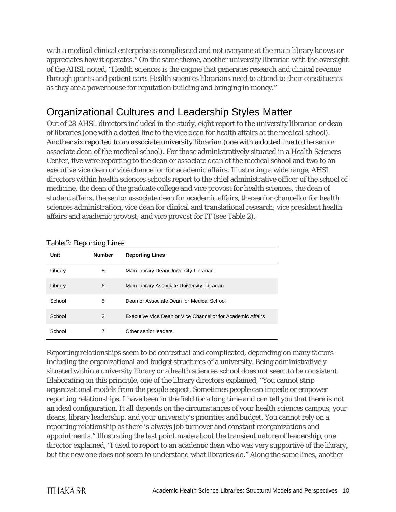with a medical clinical enterprise is complicated and not everyone at the main library knows or appreciates how it operates." On the same theme, another university librarian with the oversight of the AHSL noted, "Health sciences is the engine that generates research and clinical revenue through grants and patient care. Health sciences librarians need to attend to their constituents as they are a powerhouse for reputation building and bringing in money."

## <span id="page-10-0"></span>Organizational Cultures and Leadership Styles Matter

Out of 28 AHSL directors included in the study, eight report to the university librarian or dean of libraries (one with a dotted line to the vice dean for health affairs at the medical school). Another six reported to an associate university librarian (one with a dotted line to the senior associate dean of the medical school). For those administratively situated in a Health Sciences Center, five were reporting to the dean or associate dean of the medical school and two to an executive vice dean or vice chancellor for academic affairs. Illustrating a wide range, AHSL directors within health sciences schools report to the chief administrative officer of the school of medicine, the dean of the graduate college and vice provost for health sciences, the dean of student affairs, the senior associate dean for academic affairs, the senior chancellor for health sciences administration, vice dean for clinical and translational research; vice president health affairs and academic provost; and vice provost for IT (see Table 2).

| Unit    | <b>Number</b> | <b>Reporting Lines</b>                                      |
|---------|---------------|-------------------------------------------------------------|
| Library | 8             | Main Library Dean/University Librarian                      |
| Library | 6             | Main Library Associate University Librarian                 |
| School  | 5             | Dean or Associate Dean for Medical School                   |
| School  | 2             | Executive Vice Dean or Vice Chancellor for Academic Affairs |
| School  | 7             | Other senior leaders                                        |

#### Table 2: Reporting Lines

Reporting relationships seem to be contextual and complicated, depending on many factors including the organizational and budget structures of a university. Being administratively situated within a university library or a health sciences school does not seem to be consistent. Elaborating on this principle, one of the library directors explained, "You cannot strip organizational models from the people aspect. Sometimes people can impede or empower reporting relationships. I have been in the field for a long time and can tell you that there is not an ideal configuration. It all depends on the circumstances of your health sciences campus, your deans, library leadership, and your university's priorities and budget. You cannot rely on a reporting relationship as there is always job turnover and constant reorganizations and appointments." Illustrating the last point made about the transient nature of leadership, one director explained, "I used to report to an academic dean who was very supportive of the library, but the new one does not seem to understand what libraries do." Along the same lines, another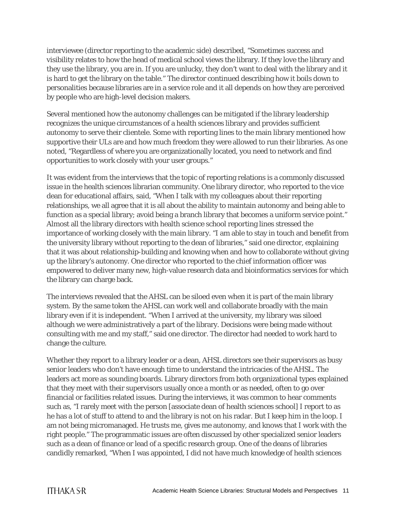interviewee (director reporting to the academic side) described, "Sometimes success and visibility relates to how the head of medical school views the library. If they love the library and they use the library, you are in. If you are unlucky, they don't want to deal with the library and it is hard to get the library on the table." The director continued describing how it boils down to personalities because libraries are in a service role and it all depends on how they are perceived by people who are high-level decision makers.

Several mentioned how the autonomy challenges can be mitigated if the library leadership recognizes the unique circumstances of a health sciences library and provides sufficient autonomy to serve their clientele. Some with reporting lines to the main library mentioned how supportive their ULs are and how much freedom they were allowed to run their libraries. As one noted, "Regardless of where you are organizationally located, you need to network and find opportunities to work closely with your user groups."

It was evident from the interviews that the topic of reporting relations is a commonly discussed issue in the health sciences librarian community. One library director, who reported to the vice dean for educational affairs, said, "When I talk with my colleagues about their reporting relationships, we all agree that it is all about the ability to maintain autonomy and being able to function as a special library; avoid being a branch library that becomes a uniform service point." Almost all the library directors with health science school reporting lines stressed the importance of working closely with the main library. "I am able to stay in touch and benefit from the university library without reporting to the dean of libraries," said one director, explaining that it was about relationship-building and knowing when and how to collaborate without giving up the library's autonomy. One director who reported to the chief information officer was empowered to deliver many new, high-value research data and bioinformatics services for which the library can charge back.

The interviews revealed that the AHSL can be siloed even when it is part of the main library system. By the same token the AHSL can work well and collaborate broadly with the main library even if it is independent. "When I arrived at the university, my library was siloed although we were administratively a part of the library. Decisions were being made without consulting with me and my staff," said one director. The director had needed to work hard to change the culture.

Whether they report to a library leader or a dean, AHSL directors see their supervisors as busy senior leaders who don't have enough time to understand the intricacies of the AHSL. The leaders act more as sounding boards. Library directors from both organizational types explained that they meet with their supervisors usually once a month or as needed, often to go over financial or facilities related issues. During the interviews, it was common to hear comments such as, "I rarely meet with the person [associate dean of health sciences school] I report to as he has a lot of stuff to attend to and the library is not on his radar. But I keep him in the loop. I am not being micromanaged. He trusts me, gives me autonomy, and knows that I work with the right people." The programmatic issues are often discussed by other specialized senior leaders such as a dean of finance or lead of a specific research group. One of the deans of libraries candidly remarked, "When I was appointed, I did not have much knowledge of health sciences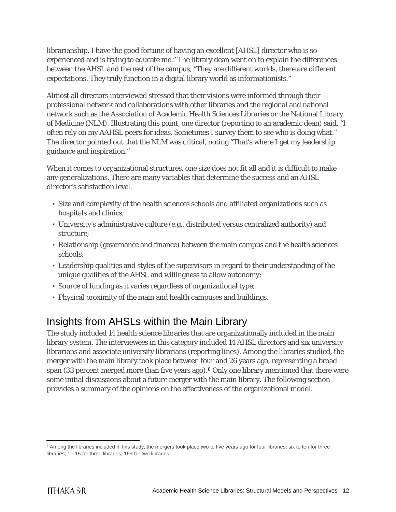librarianship. I have the good fortune of having an excellent [AHSL] director who is so experienced and is trying to educate me." The library dean went on to explain the differences between the AHSL and the rest of the campus, "They are different worlds, there are different expectations. They truly function in a digital library world as informationists."

Almost all directors interviewed stressed that their visions were informed through their professional network and collaborations with other libraries and the regional and national network such as the Association of Academic Health Sciences Libraries or the National Library of Medicine (NLM). Illustrating this point, one director (reporting to an academic dean) said, "I often rely on my AAHSL peers for ideas. Sometimes I survey them to see who is doing what." The director pointed out that the NLM was critical, noting "That's where I get my leadership guidance and inspiration."

When it comes to organizational structures, one size does not fit all and it is difficult to make any generalizations. There are many variables that determine the success and an AHSL director's satisfaction level.

- Size and complexity of the health sciences schools and affiliated organizations such as hospitals and clinics;
- University's administrative culture (e.g., distributed versus centralized authority) and structure;
- Relationship (governance and finance) between the main campus and the health sciences schools;
- Leadership qualities and styles of the supervisors in regard to their understanding of the unique qualities of the AHSL and willingness to allow autonomy;
- Source of funding as it varies regardless of organizational type;
- Physical proximity of the main and health campuses and buildings.

### <span id="page-12-0"></span>Insights from AHSLs within the Main Library

The study included 14 health science libraries that are organizationally included in the main library system. The interviewees in this category included 14 AHSL directors and six university librarians and associate university librarians (reporting lines). Among the libraries studied, the merger with the main library took place between four and 26 years ago, representing a broad span (33 percent merged more than five years ago).<sup>8</sup> Only one library mentioned that there were some initial discussions about a future merger with the main library. The following section provides a summary of the opinions on the effectiveness of the organizational model.

<span id="page-12-1"></span><sup>&</sup>lt;sup>8</sup> Among the libraries included in this study, the mergers took place two to five years ago for four libraries; six to ten for three libraries; 11-15 for three libraries; 16+ for two libraries.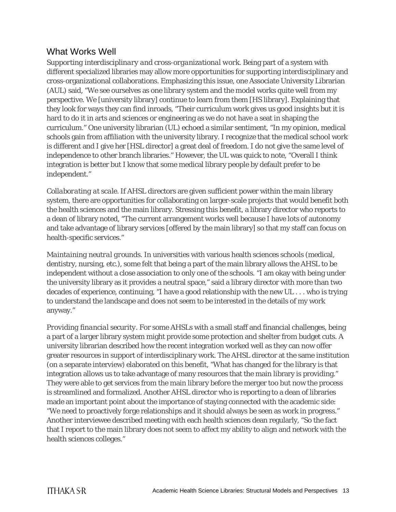#### What Works Well

*Supporting interdisciplinary and cross-organizational work*. Being part of a system with different specialized libraries may allow more opportunities for supporting interdisciplinary and cross-organizational collaborations. Emphasizing this issue, one Associate University Librarian (AUL) said, "We see ourselves as one library system and the model works quite well from my perspective. We [university library] continue to learn from them [HS library]. Explaining that they look for ways they can find inroads, "Their curriculum work gives us good insights but it is hard to do it in arts and sciences or engineering as we do not have a seat in shaping the curriculum." One university librarian (UL) echoed a similar sentiment, "In my opinion, medical schools gain from affiliation with the university library. I recognize that the medical school work is different and I give her [HSL director] a great deal of freedom. I do not give the same level of independence to other branch libraries." However, the UL was quick to note, "Overall I think integration is better but I know that some medical library people by default prefer to be independent."

*Collaborating at scale*. If AHSL directors are given sufficient power within the main library system, there are opportunities for collaborating on larger-scale projects that would benefit both the health sciences and the main library. Stressing this benefit, a library director who reports to a dean of library noted, "The current arrangement works well because I have lots of autonomy and take advantage of library services [offered by the main library] so that my staff can focus on health-specific services."

*Maintaining neutral grounds*. In universities with various health sciences schools (medical, dentistry, nursing, etc.), some felt that being a part of the main library allows the AHSL to be independent without a close association to only one of the schools. "I am okay with being under the university library as it provides a neutral space," said a library director with more than two decades of experience, continuing, "I have a good relationship with the new UL . . . who is trying to understand the landscape and does not seem to be interested in the details of my work anyway."

*Providing financial security*. For some AHSLs with a small staff and financial challenges, being a part of a larger library system might provide some protection and shelter from budget cuts. A university librarian described how the recent integration worked well as they can now offer greater resources in support of interdisciplinary work. The AHSL director at the same institution (on a separate interview) elaborated on this benefit, "What has changed for the library is that integration allows us to take advantage of many resources that the main library is providing." They were able to get services from the main library before the merger too but now the process is streamlined and formalized. Another AHSL director who is reporting to a dean of libraries made an important point about the importance of staying connected with the academic side: "We need to proactively forge relationships and it should always be seen as work in progress." Another interviewee described meeting with each health sciences dean regularly, "So the fact that I report to the main library does not seem to affect my ability to align and network with the health sciences colleges."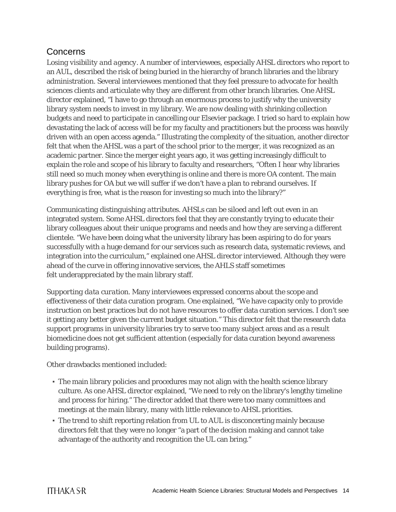#### Concerns

*Losing visibility and agency*. A number of interviewees, especially AHSL directors who report to an AUL, described the risk of being buried in the hierarchy of branch libraries and the library administration. Several interviewees mentioned that they feel pressure to advocate for health sciences clients and articulate why they are different from other branch libraries. One AHSL director explained, "I have to go through an enormous process to justify why the university library system needs to invest in my library. We are now dealing with shrinking collection budgets and need to participate in cancelling our Elsevier package. I tried so hard to explain how devastating the lack of access will be for my faculty and practitioners but the process was heavily driven with an open access agenda." Illustrating the complexity of the situation, another director felt that when the AHSL was a part of the school prior to the merger, it was recognized as an academic partner. Since the merger eight years ago, it was getting increasingly difficult to explain the role and scope of his library to faculty and researchers, "Often I hear why libraries still need so much money when everything is online and there is more OA content. The main library pushes for OA but we will suffer if we don't have a plan to rebrand ourselves. If everything is free, what is the reason for investing so much into the library?"

*Communicating distinguishing attributes.* AHSLs can be siloed and left out even in an integrated system. Some AHSL directors feel that they are constantly trying to educate their library colleagues about their unique programs and needs and how they are serving a different clientele. "We have been doing what the university library has been aspiring to do for years successfully with a huge demand for our services such as research data, systematic reviews, and integration into the curriculum," explained one AHSL director interviewed. Although they were ahead of the curve in offering innovative services, the AHLS staff sometimes felt underappreciated by the main library staff.

*Supporting data curation*. Many interviewees expressed concerns about the scope and effectiveness of their data curation program. One explained, "We have capacity only to provide instruction on best practices but do not have resources to offer data curation services. I don't see it getting any better given the current budget situation." This director felt that the research data support programs in university libraries try to serve too many subject areas and as a result biomedicine does not get sufficient attention (especially for data curation beyond awareness building programs).

Other drawbacks mentioned included:

- The main library policies and procedures may not align with the health science library culture. As one AHSL director explained, "We need to rely on the library's lengthy timeline and process for hiring." The director added that there were too many committees and meetings at the main library, many with little relevance to AHSL priorities.
- The trend to shift reporting relation from UL to AUL is disconcerting mainly because directors felt that they were no longer "a part of the decision making and cannot take advantage of the authority and recognition the UL can bring."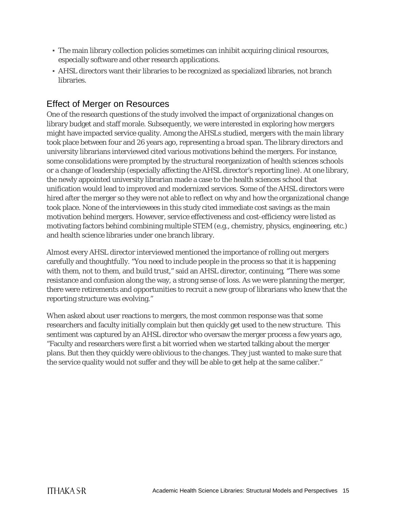- The main library collection policies sometimes can inhibit acquiring clinical resources, especially software and other research applications.
- AHSL directors want their libraries to be recognized as specialized libraries, not branch libraries.

### Effect of Merger on Resources

One of the research questions of the study involved the impact of organizational changes on library budget and staff morale. Subsequently, we were interested in exploring how mergers might have impacted service quality. Among the AHSLs studied, mergers with the main library took place between four and 26 years ago, representing a broad span. The library directors and university librarians interviewed cited various motivations behind the mergers. For instance, some consolidations were prompted by the structural reorganization of health sciences schools or a change of leadership (especially affecting the AHSL director's reporting line). At one library, the newly appointed university librarian made a case to the health sciences school that unification would lead to improved and modernized services. Some of the AHSL directors were hired after the merger so they were not able to reflect on why and how the organizational change took place. None of the interviewees in this study cited immediate cost savings as the main motivation behind mergers. However, service effectiveness and cost-efficiency were listed as motivating factors behind combining multiple STEM (e.g., chemistry, physics, engineering, etc.) and health science libraries under one branch library.

Almost every AHSL director interviewed mentioned the importance of rolling out mergers carefully and thoughtfully. "You need to include people in the process so that it is happening with them, not to them, and build trust," said an AHSL director, continuing, "There was some resistance and confusion along the way, a strong sense of loss. As we were planning the merger, there were retirements and opportunities to recruit a new group of librarians who knew that the reporting structure was evolving."

When asked about user reactions to mergers, the most common response was that some researchers and faculty initially complain but then quickly get used to the new structure. This sentiment was captured by an AHSL director who oversaw the merger process a few years ago, "Faculty and researchers were first a bit worried when we started talking about the merger plans. But then they quickly were oblivious to the changes. They just wanted to make sure that the service quality would not suffer and they will be able to get help at the same caliber."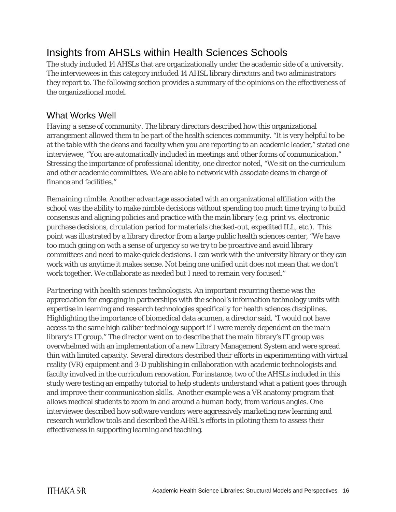### <span id="page-16-0"></span>Insights from AHSLs within Health Sciences Schools

The study included 14 AHSLs that are organizationally under the academic side of a university. The interviewees in this category included 14 AHSL library directors and two administrators they report to. The following section provides a summary of the opinions on the effectiveness of the organizational model.

#### What Works Well

*Having a sense of community.* The library directors described how this organizational arrangement allowed them to be part of the health sciences community. "It is very helpful to be at the table with the deans and faculty when you are reporting to an academic leader," stated one interviewee, "You are automatically included in meetings and other forms of communication." Stressing the importance of professional identity, one director noted, "We sit on the curriculum and other academic committees. We are able to network with associate deans in charge of finance and facilities."

*Remaining nimble*. Another advantage associated with an organizational affiliation with the school was the ability to make nimble decisions without spending too much time trying to build consensus and aligning policies and practice with the main library (e.g. print vs. electronic purchase decisions, circulation period for materials checked-out, expedited ILL, etc.). This point was illustrated by a library director from a large public health sciences center, "We have too much going on with a sense of urgency so we try to be proactive and avoid library committees and need to make quick decisions. I can work with the university library or they can work with us anytime it makes sense. Not being one unified unit does not mean that we don't work together. We collaborate as needed but I need to remain very focused."

*Partnering with health sciences technologists*. An important recurring theme was the appreciation for engaging in partnerships with the school's information technology units with expertise in learning and research technologies specifically for health sciences disciplines. Highlighting the importance of biomedical data acumen, a director said, "I would not have access to the same high caliber technology support if I were merely dependent on the main library's IT group." The director went on to describe that the main library's IT group was overwhelmed with an implementation of a new Library Management System and were spread thin with limited capacity. Several directors described their efforts in experimenting with virtual reality (VR) equipment and 3-D publishing in collaboration with academic technologists and faculty involved in the curriculum renovation. For instance, two of the AHSLs included in this study were testing an empathy tutorial to help students understand what a patient goes through and improve their communication skills. Another example was a VR anatomy program that allows medical students to zoom in and around a human body, from various angles. One interviewee described how software vendors were aggressively marketing new learning and research workflow tools and described the AHSL's efforts in piloting them to assess their effectiveness in supporting learning and teaching.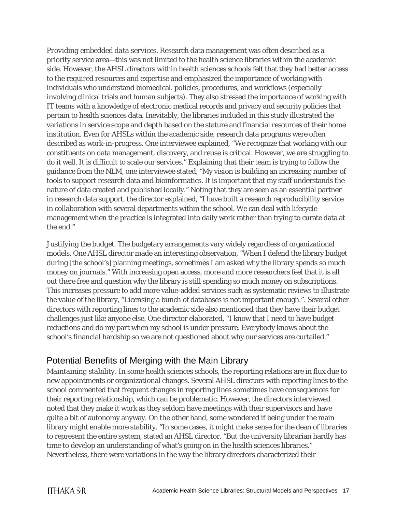*Providing embedded data services*. Research data management was often described as a priority service area—this was not limited to the health science libraries within the academic side. However, the AHSL directors within health sciences schools felt that they had better access to the required resources and expertise and emphasized the importance of working with individuals who understand biomedical. policies, procedures, and workflows (especially involving clinical trials and human subjects). They also stressed the importance of working with IT teams with a knowledge of electronic medical records and privacy and security policies that pertain to health sciences data. Inevitably, the libraries included in this study illustrated the variations in service scope and depth based on the stature and financial resources of their home institution. Even for AHSLs within the academic side, research data programs were often described as work-in-progress. One interviewee explained, "We recognize that working with our constituents on data management, discovery, and reuse is critical. However, we are struggling to do it well. It is difficult to scale our services." Explaining that their team is trying to follow the guidance from the NLM, one interviewee stated, "My vision is building an increasing number of tools to support research data and bioinformatics. It is important that my staff understands the nature of data created and published locally." Noting that they are seen as an essential partner in research data support, the director explained, "I have built a research reproducibility service in collaboration with several departments within the school. We can deal with lifecycle management when the practice is integrated into daily work rather than trying to curate data at the end."

*Justifying the budget*. The budgetary arrangements vary widely regardless of organizational models. One AHSL director made an interesting observation, "When I defend the library budget during [the school's] planning meetings, sometimes I am asked why the library spends so much money on journals." With increasing open access, more and more researchers feel that it is all out there free and question why the library is still spending so much money on subscriptions. This increases pressure to add more value-added services such as systematic reviews to illustrate the value of the library, "Licensing a bunch of databases is not important enough.". Several other directors with reporting lines to the academic side also mentioned that they have their budget challenges just like anyone else. One director elaborated, "I know that I need to have budget reductions and do my part when my school is under pressure. Everybody knows about the school's financial hardship so we are not questioned about why our services are curtailed."

### Potential Benefits of Merging with the Main Library

*Maintaining stability*. In some health sciences schools, the reporting relations are in flux due to new appointments or organizational changes. Several AHSL directors with reporting lines to the school commented that frequent changes in reporting lines sometimes have consequences for their reporting relationship, which can be problematic. However, the directors interviewed noted that they make it work as they seldom have meetings with their supervisors and have quite a bit of autonomy anyway. On the other hand, some wondered if being under the main library might enable more stability. "In some cases, it might make sense for the dean of libraries to represent the entire system, stated an AHSL director. "But the university librarian hardly has time to develop an understanding of what's going on in the health sciences libraries." Nevertheless, there were variations in the way the library directors characterized their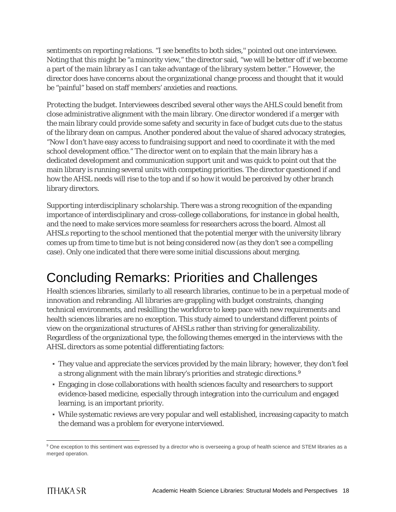sentiments on reporting relations. "I see benefits to both sides,'' pointed out one interviewee. Noting that this might be "a minority view," the director said, "we will be better off if we become a part of the main library as I can take advantage of the library system better." However, the director does have concerns about the organizational change process and thought that it would be "painful" based on staff members' anxieties and reactions.

*Protecting the budget*. Interviewees described several other ways the AHLS could benefit from close administrative alignment with the main library. One director wondered if a merger with the main library could provide some safety and security in face of budget cuts due to the status of the library dean on campus. Another pondered about the value of shared advocacy strategies, "Now I don't have easy access to fundraising support and need to coordinate it with the med school development office." The director went on to explain that the main library has a dedicated development and communication support unit and was quick to point out that the main library is running several units with competing priorities. The director questioned if and how the AHSL needs will rise to the top and if so how it would be perceived by other branch library directors.

*Supporting interdisciplinary scholarship*. There was a strong recognition of the expanding importance of interdisciplinary and cross-college collaborations, for instance in global health, and the need to make services more seamless for researchers across the board. Almost all AHSLs reporting to the school mentioned that the potential merger with the university library comes up from time to time but is not being considered now (as they don't see a compelling case). Only one indicated that there were some initial discussions about merging.

## <span id="page-18-0"></span>Concluding Remarks: Priorities and Challenges

Health sciences libraries, similarly to all research libraries, continue to be in a perpetual mode of innovation and rebranding. All libraries are grappling with budget constraints, changing technical environments, and reskilling the workforce to keep pace with new requirements and health sciences libraries are no exception. This study aimed to understand different points of view on the organizational structures of AHSLs rather than striving for generalizability. Regardless of the organizational type, the following themes emerged in the interviews with the AHSL directors as some potential differentiating factors:

- They value and appreciate the services provided by the main library; however, they don't feel a strong alignment with the main library's priorities and strategic directions.<sup>[9](#page-18-1)</sup>
- Engaging in close collaborations with health sciences faculty and researchers to support evidence-based medicine, especially through integration into the curriculum and engaged learning, is an important priority.
- While systematic reviews are very popular and well established, increasing capacity to match the demand was a problem for everyone interviewed.

<span id="page-18-1"></span><sup>&</sup>lt;sup>9</sup> One exception to this sentiment was expressed by a director who is overseeing a group of health science and STEM libraries as a merged operation.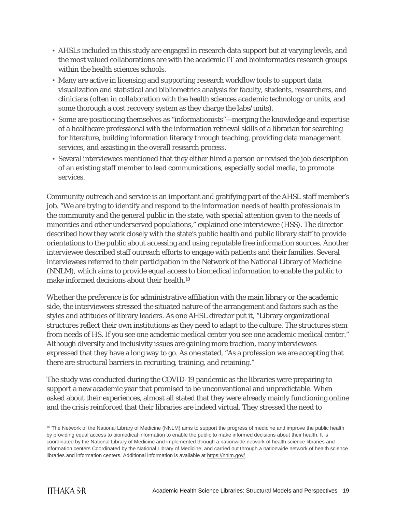- AHSLs included in this study are engaged in research data support but at varying levels, and the most valued collaborations are with the academic IT and bioinformatics research groups within the health sciences schools.
- Many are active in licensing and supporting research workflow tools to support data visualization and statistical and bibliometrics analysis for faculty, students, researchers, and clinicians (often in collaboration with the health sciences academic technology or units, and some thorough a cost recovery system as they charge the labs/units).
- Some are positioning themselves as "informationists"—merging the knowledge and expertise of a healthcare professional with the information retrieval skills of a librarian for searching for literature, building information literacy through teaching, providing data management services, and assisting in the overall research process.
- Several interviewees mentioned that they either hired a person or revised the job description of an existing staff member to lead communications, especially social media, to promote services.

Community outreach and service is an important and gratifying part of the AHSL staff member's job. "We are trying to identify and respond to the information needs of health professionals in the community and the general public in the state, with special attention given to the needs of minorities and other underserved populations," explained one interviewee (HSS). The director described how they work closely with the state's public health and public library staff to provide orientations to the public about accessing and using reputable free information sources. Another interviewee described staff outreach efforts to engage with patients and their families. Several interviewees referred to their participation in the Network of the National Library of Medicine (NNLM), which aims to provide equal access to biomedical information to enable the public to make informed decisions about their health.<sup>[10](#page-19-0)</sup>

Whether the preference is for administrative affiliation with the main library or the academic side, the interviewees stressed the situated nature of the arrangement and factors such as the styles and attitudes of library leaders. As one AHSL director put it, "Library organizational structures reflect their own institutions as they need to adapt to the culture. The structures stem from needs of HS. If you see one academic medical center you see one academic medical center." Although diversity and inclusivity issues are gaining more traction, many interviewees expressed that they have a long way to go. As one stated, "As a profession we are accepting that there are structural barriers in recruiting, training, and retaining."

The study was conducted during the COVID-19 pandemic as the libraries were preparing to support a new academic year that promised to be unconventional and unpredictable. When asked about their experiences, almost all stated that they were already mainly functioning online and the crisis reinforced that their libraries are indeed virtual. They stressed the need to

<span id="page-19-0"></span><sup>&</sup>lt;sup>10</sup> The Network of the National Library of Medicine (NNLM) aims to support the progress of medicine and improve the public health by providing equal access to biomedical information to enable the public to make informed decisions about their health. It is coordinated by the National Library of Medicine and implemented through a nationwide network of health science libraries and information centers Coordinated by the National Library of Medicine, and carried out through a nationwide network of health science libraries and information centers. Additional information is available at [https://nnlm.gov/.](https://nnlm.gov/)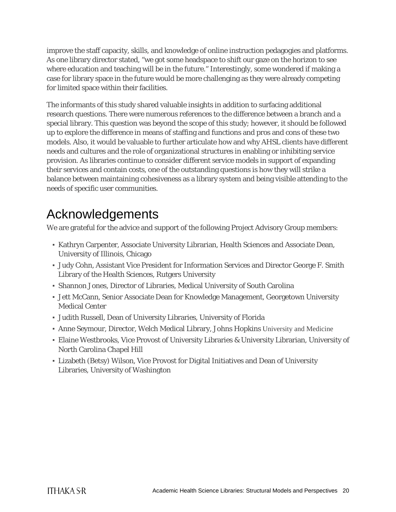improve the staff capacity, skills, and knowledge of online instruction pedagogies and platforms. As one library director stated, "we got some headspace to shift our gaze on the horizon to see where education and teaching will be in the future." Interestingly, some wondered if making a case for library space in the future would be more challenging as they were already competing for limited space within their facilities.

The informants of this study shared valuable insights in addition to surfacing additional research questions. There were numerous references to the difference between a branch and a special library. This question was beyond the scope of this study; however, it should be followed up to explore the difference in means of staffing and functions and pros and cons of these two models. Also, it would be valuable to further articulate how and why AHSL clients have different needs and cultures and the role of organizational structures in enabling or inhibiting service provision. As libraries continue to consider different service models in support of expanding their services and contain costs, one of the outstanding questions is how they will strike a balance between maintaining cohesiveness as a library system and being visible attending to the needs of specific user communities.

## <span id="page-20-0"></span>Acknowledgements

We are grateful for the advice and support of the following Project Advisory Group members:

- Kathryn Carpenter, Associate University Librarian, Health Sciences and Associate Dean, University of Illinois, Chicago
- Judy Cohn, Assistant Vice President for Information Services and Director George F. Smith Library of the Health Sciences, Rutgers University
- Shannon Jones, Director of Libraries, Medical University of South Carolina
- Jett McCann, Senior Associate Dean for Knowledge Management, Georgetown University Medical Center
- Judith Russell, Dean of University Libraries, University of Florida
- Anne Seymour, Director, Welch Medical Library, Johns Hopkins University and Medicine
- Elaine Westbrooks, Vice Provost of University Libraries & University Librarian, University of North Carolina Chapel Hill
- Lizabeth (Betsy) Wilson, Vice Provost for Digital Initiatives and Dean of University Libraries, University of Washington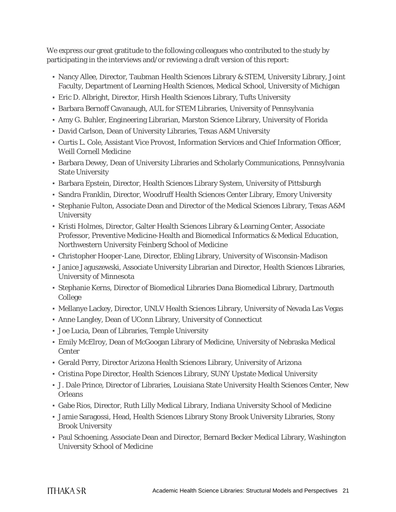We express our great gratitude to the following colleagues who contributed to the study by participating in the interviews and/or reviewing a draft version of this report:

- Nancy Allee, Director, Taubman Health Sciences Library & STEM, University Library, Joint Faculty, Department of Learning Health Sciences, Medical School, University of Michigan
- Eric D. Albright, Director, Hirsh Health Sciences Library, Tufts University
- Barbara Bernoff Cavanaugh, AUL for STEM Libraries, University of Pennsylvania
- Amy G. Buhler, Engineering Librarian, Marston Science Library, University of Florida
- David Carlson, Dean of University Libraries, Texas A&M University
- Curtis L. Cole, Assistant Vice Provost, Information Services and Chief Information Officer, Weill Cornell Medicine
- Barbara Dewey, Dean of University Libraries and Scholarly Communications, Pennsylvania State University
- Barbara Epstein, Director, Health Sciences Library System, University of Pittsburgh
- Sandra Franklin, Director, Woodruff Health Sciences Center Library, Emory University
- Stephanie Fulton, Associate Dean and Director of the Medical Sciences Library, Texas A&M **University**
- Kristi Holmes, Director, Galter Health Sciences Library & Learning Center, Associate Professor, Preventive Medicine-Health and Biomedical Informatics & Medical Education, Northwestern University Feinberg School of Medicine
- Christopher Hooper-Lane, Director, Ebling Library, University of Wisconsin-Madison
- Janice Jaguszewski, Associate University Librarian and Director, Health Sciences Libraries, University of Minnesota
- Stephanie Kerns, Director of Biomedical Libraries Dana Biomedical Library, Dartmouth College
- Mellanye Lackey, Director, UNLV Health Sciences Library, University of Nevada Las Vegas
- Anne Langley, Dean of UConn Library, University of Connecticut
- Joe Lucia, Dean of Libraries, Temple University
- Emily McElroy, Dean of McGoogan Library of Medicine, University of Nebraska Medical Center
- Gerald Perry, Director Arizona Health Sciences Library, University of Arizona
- Cristina Pope Director, Health Sciences Library, SUNY Upstate Medical University
- J. Dale Prince, Director of Libraries, Louisiana State University Health Sciences Center, New **Orleans**
- Gabe Rios, Director, Ruth Lilly Medical Library, Indiana University School of Medicine
- Jamie Saragossi, Head, Health Sciences Library Stony Brook University Libraries, Stony Brook University
- Paul Schoening, Associate Dean and Director, Bernard Becker Medical Library, Washington University School of Medicine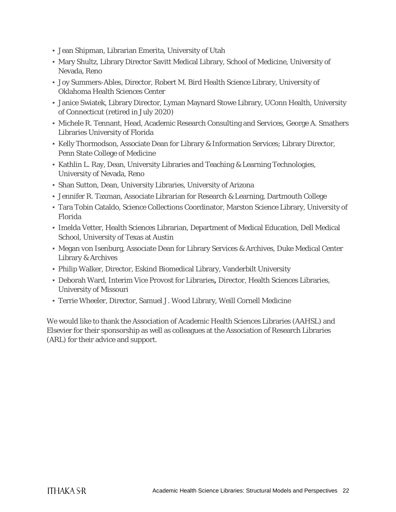- Jean Shipman, Librarian Emerita, University of Utah
- Mary Shultz, Library Director Savitt Medical Library, School of Medicine, University of Nevada, Reno
- Joy Summers-Ables, Director, Robert M. Bird Health Science Library, University of Oklahoma Health Sciences Center
- Janice Swiatek, Library Director, Lyman Maynard Stowe Library, UConn Health, University of Connecticut (retired in July 2020)
- Michele R. Tennant, Head, Academic Research Consulting and Services, George A. Smathers Libraries University of Florida
- Kelly Thormodson, Associate Dean for Library & Information Services; Library Director, Penn State College of Medicine
- Kathlin L. Ray, Dean, University Libraries and Teaching & Learning Technologies, University of Nevada, Reno
- Shan Sutton, Dean, University Libraries, University of Arizona
- Jennifer R. Taxman, Associate Librarian for Research & Learning, Dartmouth College
- Tara Tobin Cataldo, Science Collections Coordinator, Marston Science Library, University of Florida
- Imelda Vetter, Health Sciences Librarian, Department of Medical Education, Dell Medical School, University of Texas at Austin
- Megan von Isenburg, Associate Dean for Library Services & Archives, Duke Medical Center Library & Archives
- Philip Walker, Director, Eskind Biomedical Library, Vanderbilt University
- Deborah Ward, Interim Vice Provost for Libraries**,** Director, Health Sciences Libraries, University of Missouri
- Terrie Wheeler, Director, Samuel J. Wood Library, Weill Cornell Medicine

We would like to thank the Association of Academic Health Sciences Libraries (AAHSL) and Elsevier for their sponsorship as well as colleagues at the Association of Research Libraries (ARL) for their advice and support.